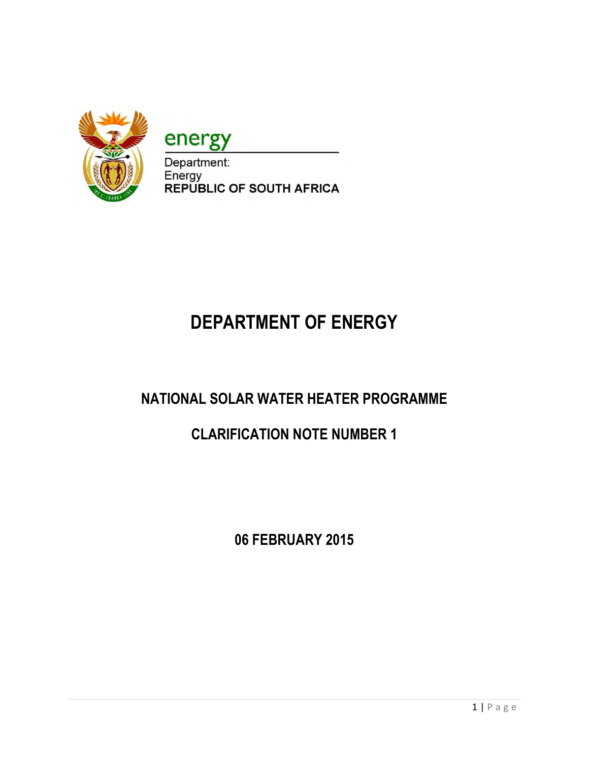

energy

Department: Energy **REPUBLIC OF SOUTH AFRICA** 

# **DEPARTMENT OF ENERGY**

# **NATIONAL SOLAR WATER HEATER PROGRAMME**

## **CLARIFICATION NOTE NUMBER 1**

**06 FEBRUARY 2015**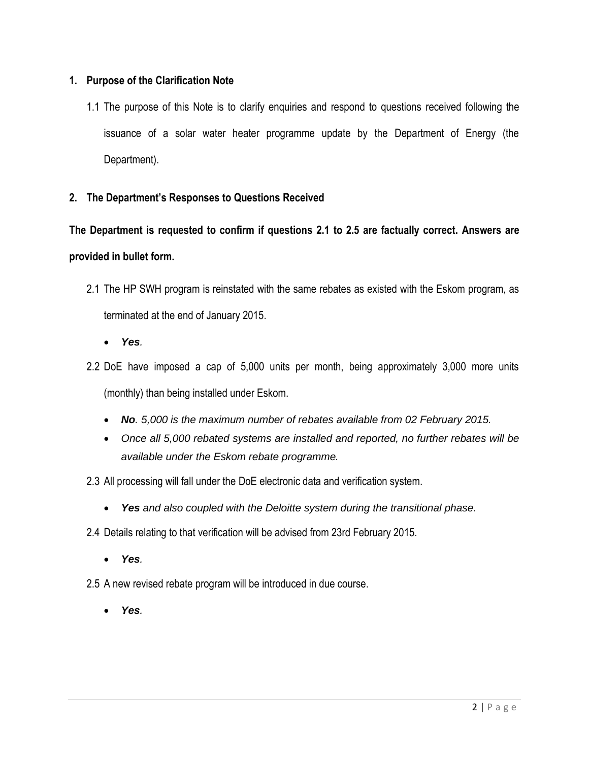#### **1. Purpose of the Clarification Note**

1.1 The purpose of this Note is to clarify enquiries and respond to questions received following the issuance of a solar water heater programme update by the Department of Energy (the Department).

#### **2. The Department's Responses to Questions Received**

## **The Department is requested to confirm if questions 2.1 to 2.5 are factually correct. Answers are provided in bullet form.**

- 2.1 The HP SWH program is reinstated with the same rebates as existed with the Eskom program, as terminated at the end of January 2015.
	- *Yes.*
- 2.2 DoE have imposed a cap of 5,000 units per month, being approximately 3,000 more units (monthly) than being installed under Eskom.
	- *No. 5,000 is the maximum number of rebates available from 02 February 2015.*
	- *Once all 5,000 rebated systems are installed and reported, no further rebates will be available under the Eskom rebate programme.*
- 2.3 All processing will fall under the DoE electronic data and verification system.
	- *Yes and also coupled with the Deloitte system during the transitional phase.*
- 2.4 Details relating to that verification will be advised from 23rd February 2015.
	- *Yes.*
- 2.5 A new revised rebate program will be introduced in due course.
	- *Yes.*